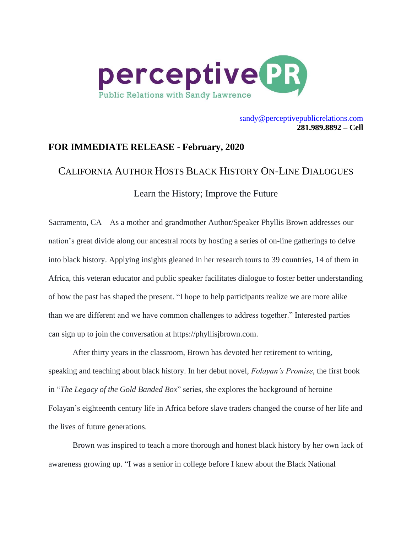

[sandy@perceptivepublicrelations.com](mailto:sandy@perceptivepublicrelations.com) **281.989.8892 – Cell**

## **FOR IMMEDIATE RELEASE - February, 2020**

## CALIFORNIA AUTHOR HOSTS BLACK HISTORY ON-LINE DIALOGUES

Learn the History; Improve the Future

Sacramento, CA – As a mother and grandmother Author/Speaker Phyllis Brown addresses our nation's great divide along our ancestral roots by hosting a series of on-line gatherings to delve into black history. Applying insights gleaned in her research tours to 39 countries, 14 of them in Africa, this veteran educator and public speaker facilitates dialogue to foster better understanding of how the past has shaped the present. "I hope to help participants realize we are more alike than we are different and we have common challenges to address together." Interested parties can sign up to join the conversation at [https://phyllisjbrown.com.](https://phyllisjbrown.com/)

After thirty years in the classroom, Brown has devoted her retirement to writing, speaking and teaching about black history. In her debut novel, *Folayan's Promise*, the first book in "*The Legacy of the Gold Banded Box*" series, she explores the background of heroine Folayan's eighteenth century life in Africa before slave traders changed the course of her life and the lives of future generations.

Brown was inspired to teach a more thorough and honest black history by her own lack of awareness growing up. "I was a senior in college before I knew about the Black National